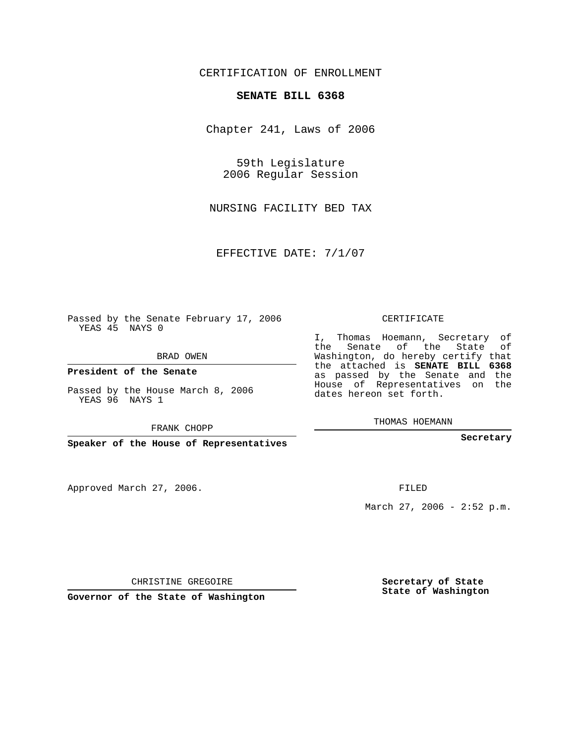## CERTIFICATION OF ENROLLMENT

## **SENATE BILL 6368**

Chapter 241, Laws of 2006

59th Legislature 2006 Regular Session

NURSING FACILITY BED TAX

EFFECTIVE DATE: 7/1/07

Passed by the Senate February 17, 2006 YEAS 45 NAYS 0

BRAD OWEN

**President of the Senate**

Passed by the House March 8, 2006 YEAS 96 NAYS 1

FRANK CHOPP

**Speaker of the House of Representatives**

Approved March 27, 2006.

CERTIFICATE

I, Thomas Hoemann, Secretary of the Senate of the State of Washington, do hereby certify that the attached is **SENATE BILL 6368** as passed by the Senate and the House of Representatives on the dates hereon set forth.

THOMAS HOEMANN

**Secretary**

FILED

March 27, 2006 - 2:52 p.m.

CHRISTINE GREGOIRE

**Governor of the State of Washington**

**Secretary of State State of Washington**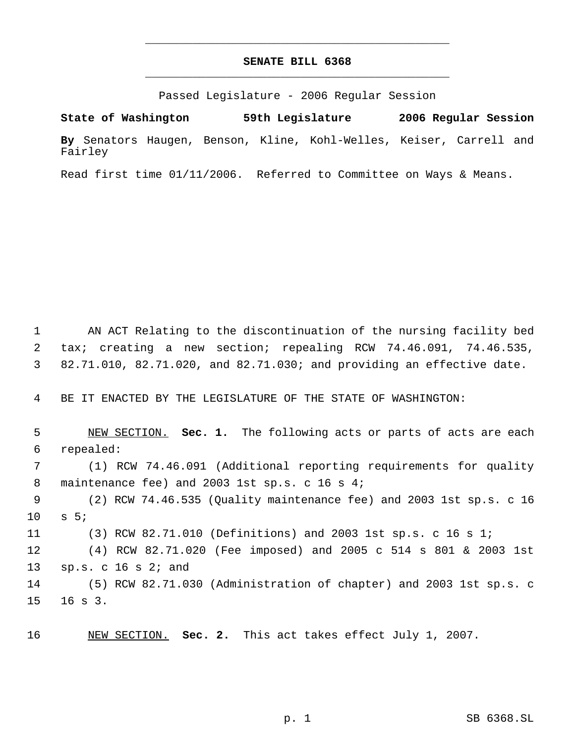## **SENATE BILL 6368** \_\_\_\_\_\_\_\_\_\_\_\_\_\_\_\_\_\_\_\_\_\_\_\_\_\_\_\_\_\_\_\_\_\_\_\_\_\_\_\_\_\_\_\_\_

\_\_\_\_\_\_\_\_\_\_\_\_\_\_\_\_\_\_\_\_\_\_\_\_\_\_\_\_\_\_\_\_\_\_\_\_\_\_\_\_\_\_\_\_\_

Passed Legislature - 2006 Regular Session

**State of Washington 59th Legislature 2006 Regular Session By** Senators Haugen, Benson, Kline, Kohl-Welles, Keiser, Carrell and Fairley

Read first time 01/11/2006. Referred to Committee on Ways & Means.

 1 AN ACT Relating to the discontinuation of the nursing facility bed 2 tax; creating a new section; repealing RCW 74.46.091, 74.46.535, 3 82.71.010, 82.71.020, and 82.71.030; and providing an effective date.

4 BE IT ENACTED BY THE LEGISLATURE OF THE STATE OF WASHINGTON:

 NEW SECTION. **Sec. 1.** The following acts or parts of acts are each repealed: (1) RCW 74.46.091 (Additional reporting requirements for quality 8 maintenance fee) and 2003 1st sp.s. c 16 s 4; (2) RCW 74.46.535 (Quality maintenance fee) and 2003 1st sp.s. c 16 10 s 5; (3) RCW 82.71.010 (Definitions) and 2003 1st sp.s. c 16 s 1; (4) RCW 82.71.020 (Fee imposed) and 2005 c 514 s 801 & 2003 1st sp.s. c 16 s 2; and (5) RCW 82.71.030 (Administration of chapter) and 2003 1st sp.s. c 15 16 s 3.

16 NEW SECTION. **Sec. 2.** This act takes effect July 1, 2007.